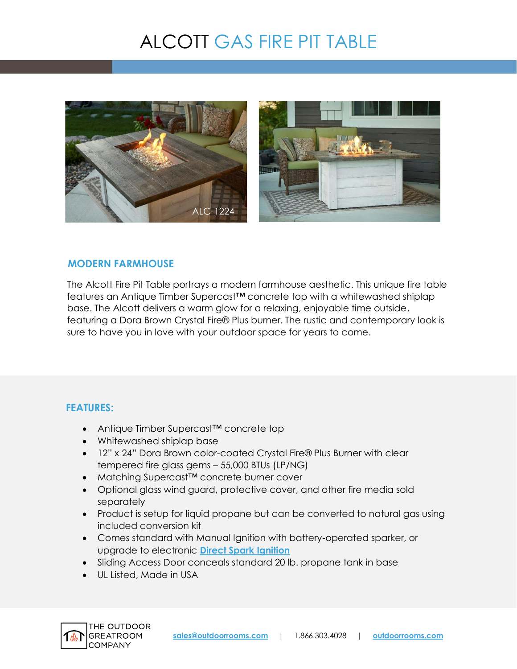# ALCOTT GAS FIRE PIT TABLE



#### **MODERN FARMHOUSE**

The Alcott Fire Pit Table portrays a modern farmhouse aesthetic. This unique fire table features an Antique Timber Supercast™ concrete top with a whitewashed shiplap base. The Alcott delivers a warm glow for a relaxing, enjoyable time outside, featuring a Dora Brown Crystal Fire® Plus burner. The rustic and contemporary look is sure to have you in love with your outdoor space for years to come.

### **FEATURES:**

- Antique Timber Supercast™ concrete top
- Whitewashed shiplap base
- 12" x 24" Dora Brown color-coated Crystal Fire® Plus Burner with clear tempered fire glass gems – 55,000 BTUs (LP/NG)
- Matching Supercast™ concrete burner cover
- Optional glass wind guard, protective cover, and other fire media sold separately
- Product is setup for liquid propane but can be converted to natural gas using included conversion kit
- Comes standard with Manual Ignition with battery-operated sparker, or upgrade to electronic **[Direct Spark Ignition](https://www.outdoorrooms.com/sites/default/files/files/direct-spark-ignition-info-sheet.pdf)**
- Sliding Access Door conceals standard 20 lb. propane tank in base
- UL Listed, Made in USA